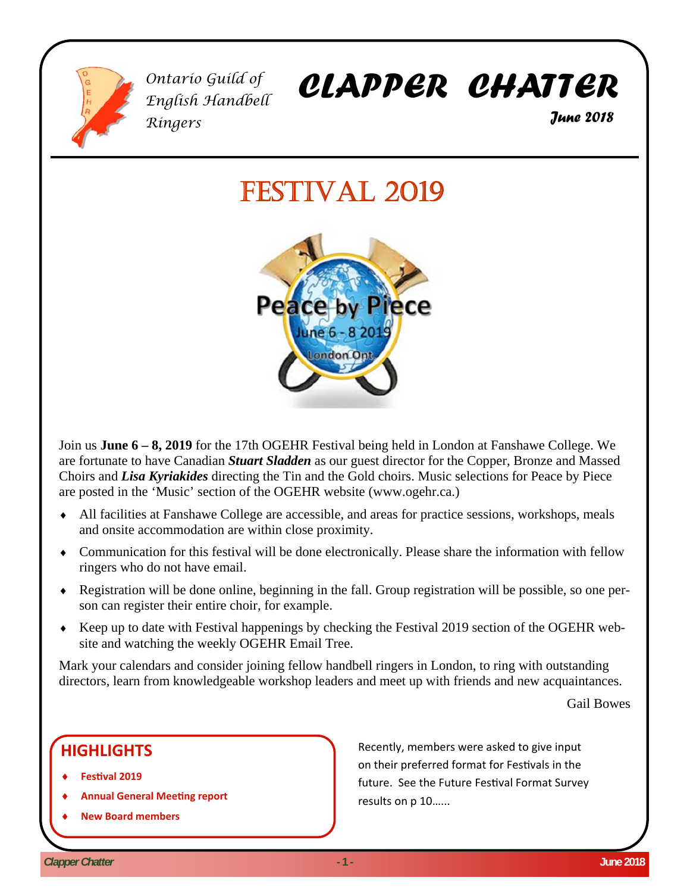

*Ontario Guild of English Handbell Ringers* 

# *CLAPPER CHATTER*

 *June 2018* 

# FESTIVAL 2019



Join us **June 6 – 8, 2019** for the 17th OGEHR Festival being held in London at Fanshawe College. We are fortunate to have Canadian *Stuart Sladden* as our guest director for the Copper, Bronze and Massed Choirs and *Lisa Kyriakides* directing the Tin and the Gold choirs. Music selections for Peace by Piece are posted in the 'Music' section of the OGEHR website (www.ogehr.ca.)

- All facilities at Fanshawe College are accessible, and areas for practice sessions, workshops, meals and onsite accommodation are within close proximity.
- Communication for this festival will be done electronically. Please share the information with fellow ringers who do not have email.
- Registration will be done online, beginning in the fall. Group registration will be possible, so one person can register their entire choir, for example.
- Keep up to date with Festival happenings by checking the Festival 2019 section of the OGEHR website and watching the weekly OGEHR Email Tree.

Mark your calendars and consider joining fellow handbell ringers in London, to ring with outstanding directors, learn from knowledgeable workshop leaders and meet up with friends and new acquaintances.

Gail Bowes

# **HIGHLIGHTS**

- **FesƟval 2019**
- **Annual General MeeƟng report**
- **New Board members**

Recently, members were asked to give input on their preferred format for Festivals in the future. See the Future Festival Format Survey results on p 10…...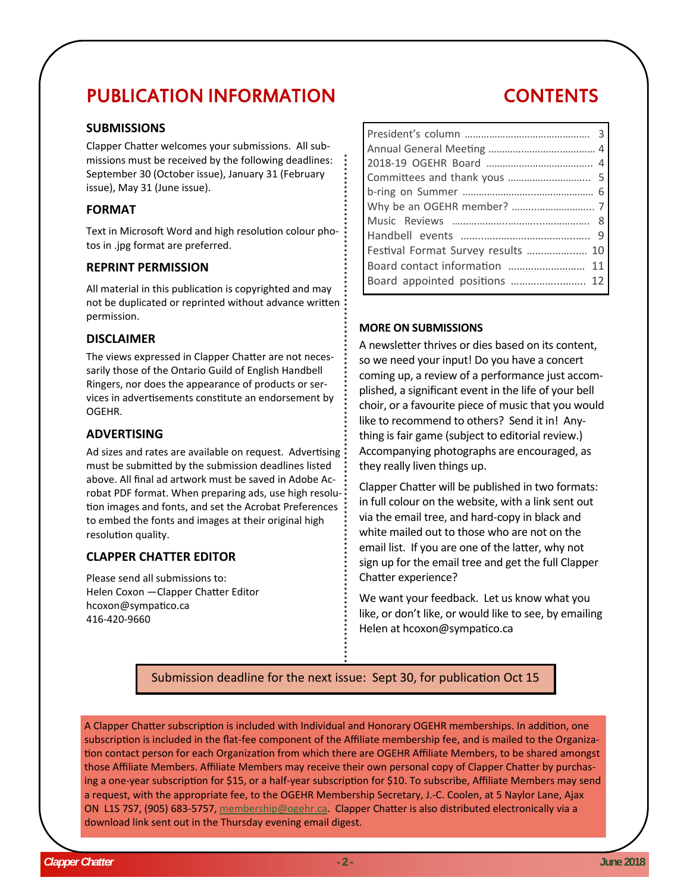# PUBLICATION INFORMATION

#### **SUBMISSIONS**

Clapper Chatter welcomes your submissions. All submissions must be received by the following deadlines: September 30 (October issue), January 31 (February issue), May 31 (June issue).

#### **FORMAT**

Text in Microsoft Word and high resolution colour photos in .jpg format are preferred.

#### **REPRINT PERMISSION**

All material in this publication is copyrighted and may not be duplicated or reprinted without advance written permission.

#### **DISCLAIMER**

The views expressed in Clapper Chatter are not necessarily those of the Ontario Guild of English Handbell Ringers, nor does the appearance of products or services in advertisements constitute an endorsement by OGEHR.

#### **ADVERTISING**

Ad sizes and rates are available on request. Advertising must be submitted by the submission deadlines listed above. All final ad artwork must be saved in Adobe Acrobat PDF format. When preparing ads, use high resolution images and fonts, and set the Acrobat Preferences to embed the fonts and images at their original high resolution quality.

## **CLAPPER CHATTER EDITOR**

Please send all submissions to: Helen Coxon - Clapper Chatter Editor hcoxon@sympatico.ca 416-420-9660

# CONTENTS

| Festival Format Survey results  10 |  |
|------------------------------------|--|
|                                    |  |
| Board appointed positions  12      |  |

#### **MORE ON SUBMISSIONS**

A newsletter thrives or dies based on its content, so we need your input! Do you have a concert coming up, a review of a performance just accomplished, a significant event in the life of your bell choir, or a favourite piece of music that you would like to recommend to others? Send it in! Anything is fair game (subject to editorial review.) Accompanying photographs are encouraged, as they really liven things up.

Clapper Chatter will be published in two formats: in full colour on the website, with a link sent out via the email tree, and hard-copy in black and white mailed out to those who are not on the email list. If you are one of the latter, why not sign up for the email tree and get the full Clapper Chatter experience?

We want your feedback. Let us know what you like, or don't like, or would like to see, by emailing Helen at hcoxon@sympatico.ca

# Submission deadline for the next issue: Sept 30, for publication Oct 15

A Clapper Chatter subscription is included with Individual and Honorary OGEHR memberships. In addition, one subscription is included in the flat-fee component of the Affiliate membership fee, and is mailed to the Organization contact person for each Organization from which there are OGEHR Affiliate Members, to be shared amongst those Affiliate Members. Affiliate Members may receive their own personal copy of Clapper Chatter by purchasing a one-year subscription for \$15, or a half-year subscription for \$10. To subscribe, Affiliate Members may send a request, with the appropriate fee, to the OGEHR Membership Secretary, J.-C. Coolen, at 5 Naylor Lane, Ajax ON L1S 7S7, (905) 683-5757, membership@ogehr.ca. Clapper Chatter is also distributed electronically via a download link sent out in the Thursday evening email digest.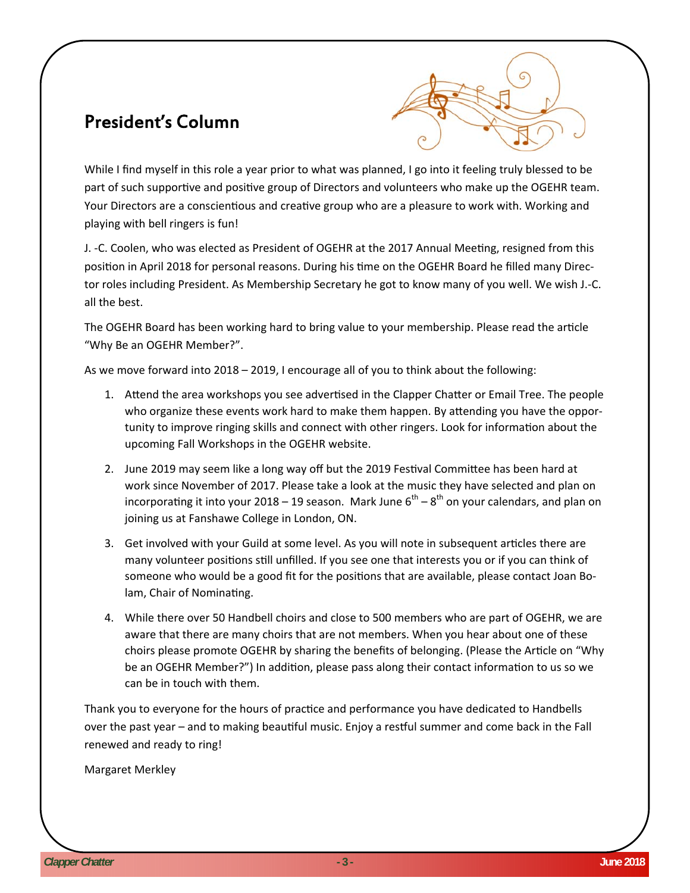# President's Column



While I find myself in this role a year prior to what was planned, I go into it feeling truly blessed to be part of such supportive and positive group of Directors and volunteers who make up the OGEHR team. Your Directors are a conscientious and creative group who are a pleasure to work with. Working and playing with bell ringers is fun!

J. -C. Coolen, who was elected as President of OGEHR at the 2017 Annual Meeting, resigned from this position in April 2018 for personal reasons. During his time on the OGEHR Board he filled many Director roles including President. As Membership Secretary he got to know many of you well. We wish J.-C. all the best.

The OGEHR Board has been working hard to bring value to your membership. Please read the article "Why Be an OGEHR Member?".

As we move forward into 2018 – 2019, I encourage all of you to think about the following:

- 1. Attend the area workshops you see advertised in the Clapper Chatter or Email Tree. The people who organize these events work hard to make them happen. By attending you have the opportunity to improve ringing skills and connect with other ringers. Look for information about the upcoming Fall Workshops in the OGEHR website.
- 2. June 2019 may seem like a long way off but the 2019 Festival Committee has been hard at work since November of 2017. Please take a look at the music they have selected and plan on incorporating it into your 2018 – 19 season. Mark June  $6^{th} - 8^{th}$  on your calendars, and plan on joining us at Fanshawe College in London, ON.
- 3. Get involved with your Guild at some level. As you will note in subsequent articles there are many volunteer positions still unfilled. If you see one that interests you or if you can think of someone who would be a good fit for the positions that are available, please contact Joan Bolam, Chair of Nominating.
- 4. While there over 50 Handbell choirs and close to 500 members who are part of OGEHR, we are aware that there are many choirs that are not members. When you hear about one of these choirs please promote OGEHR by sharing the benefits of belonging. (Please the Article on "Why be an OGEHR Member?") In addition, please pass along their contact information to us so we can be in touch with them.

Thank you to everyone for the hours of practice and performance you have dedicated to Handbells over the past year – and to making beautiful music. Enjoy a restful summer and come back in the Fall renewed and ready to ring!

Margaret Merkley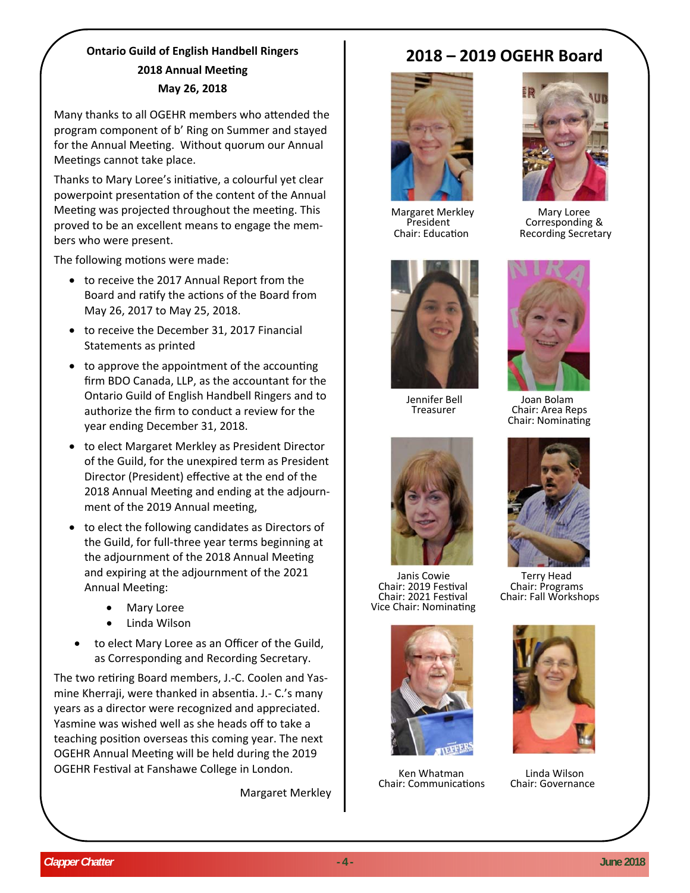# **Ontario Guild of English Handbell Ringers 2018** Annual Meeting **May 26, 2018**

Many thanks to all OGEHR members who attended the program component of b' Ring on Summer and stayed for the Annual Meeting. Without quorum our Annual Meetings cannot take place.

Thanks to Mary Loree's initiative, a colourful yet clear powerpoint presentation of the content of the Annual Meeting was projected throughout the meeting. This proved to be an excellent means to engage the members who were present.

The following motions were made:

- to receive the 2017 Annual Report from the Board and ratify the actions of the Board from May 26, 2017 to May 25, 2018.
- to receive the December 31, 2017 Financial Statements as printed
- to approve the appointment of the accounting firm BDO Canada, LLP, as the accountant for the Ontario Guild of English Handbell Ringers and to authorize the firm to conduct a review for the year ending December 31, 2018.
- to elect Margaret Merkley as President Director of the Guild, for the unexpired term as President Director (President) effective at the end of the 2018 Annual Meeting and ending at the adjournment of the 2019 Annual meeting,
- to elect the following candidates as Directors of the Guild, for full-three year terms beginning at the adjournment of the 2018 Annual Meeting and expiring at the adjournment of the 2021 Annual Meeting:
	- Mary Loree
	- Linda Wilson
	- to elect Mary Loree as an Officer of the Guild, as Corresponding and Recording Secretary.

The two retiring Board members, J.-C. Coolen and Yasmine Kherraji, were thanked in absentia. J.- C.'s many years as a director were recognized and appreciated. Yasmine was wished well as she heads off to take a teaching position overseas this coming year. The next OGEHR Annual Meeting will be held during the 2019 OGEHR Festival at Fanshawe College in London.

Margaret Merkley

# **2018 – 2019 OGEHR Board**







Janis Cowie Terry Head Chair: <sup>2019</sup> FesƟval Chair: Programs Chair: <sup>2021</sup> FesƟval Chair: Fall Workshops Vice Chair: NominaƟng



Ken Whatman Linda Wilson Chair: CommunicaƟons Chair: Governance



Margaret Merkley Mary Loree President Corresponding & Chair: EducaƟon Recording Secretary



Jennifer Bell Joan Bolam Treasurer Chair: Area Reps Chair: NominaƟng



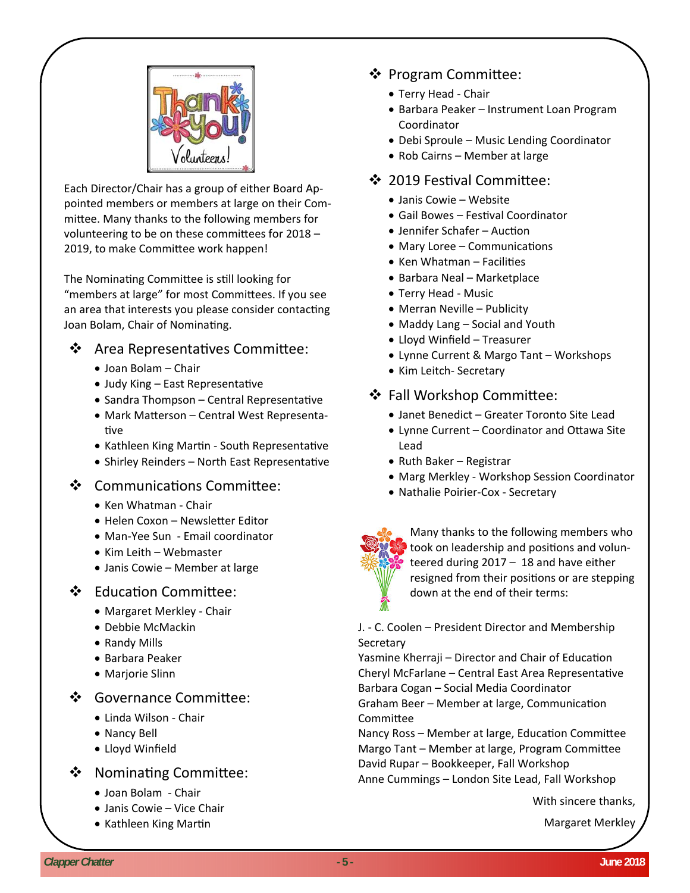

Each Director/Chair has a group of either Board Appointed members or members at large on their Committee. Many thanks to the following members for volunteering to be on these committees for 2018 -2019, to make Committee work happen!

The Nominating Committee is still looking for "members at large" for most Committees. If you see an area that interests you please consider contacting Joan Bolam, Chair of Nominating.

# ❖ Area Representatives Committee:

- Joan Bolam Chair
- Judy King East Representative
- Sandra Thompson Central Representative
- Mark Matterson Central West Representative
- Kathleen King Martin South Representative
- Shirley Reinders North East Representative

## ❖ Communications Committee:

- Ken Whatman Chair
- Helen Coxon Newsletter Editor
- Man-Yee Sun Email coordinator
- Kim Leith Webmaster
- Janis Cowie Member at large

# ❖ Education Committee:

- Margaret Merkley Chair
- Debbie McMackin
- Randy Mills
- Barbara Peaker
- Marjorie Slinn

# ❖ Governance Committee:

- Linda Wilson Chair
- Nancy Bell
- Lloyd Winfield

# ❖ Nominating Committee:

- Joan Bolam Chair
- Janis Cowie Vice Chair
- Kathleen King Martin

# ❖ Program Committee:

- Terry Head Chair
- Barbara Peaker Instrument Loan Program Coordinator
- Debi Sproule Music Lending Coordinator
- Rob Cairns Member at large

# ❖ 2019 Festival Committee:

- Janis Cowie Website
- Gail Bowes Festival Coordinator
- Jennifer Schafer Auction
- Mary Loree Communications
- Ken Whatman Facilities
- Barbara Neal Marketplace
- Terry Head Music
- Merran Neville Publicity
- Maddy Lang Social and Youth
- Lloyd Winfield Treasurer
- Lynne Current & Margo Tant Workshops
- Kim Leitch- Secretary

# ❖ Fall Workshop Committee:

- Janet Benedict Greater Toronto Site Lead
- Lynne Current Coordinator and Ottawa Site Lead
- $\bullet$  Ruth Baker Registrar
- Marg Merkley Workshop Session Coordinator
- Nathalie Poirier-Cox Secretary



Many thanks to the following members who took on leadership and positions and volunteered during 2017 – 18 and have either resigned from their positions or are stepping down at the end of their terms:

## J. - C. Coolen – President Director and Membership Secretary

Yasmine Kherraji – Director and Chair of Education Cheryl McFarlane – Central East Area Representative Barbara Cogan – Social Media Coordinator Graham Beer – Member at large, Communication **Committee** 

Nancy Ross – Member at large, Education Committee Margo Tant – Member at large, Program Committee David Rupar – Bookkeeper, Fall Workshop Anne Cummings – London Site Lead, Fall Workshop

With sincere thanks,

Margaret Merkley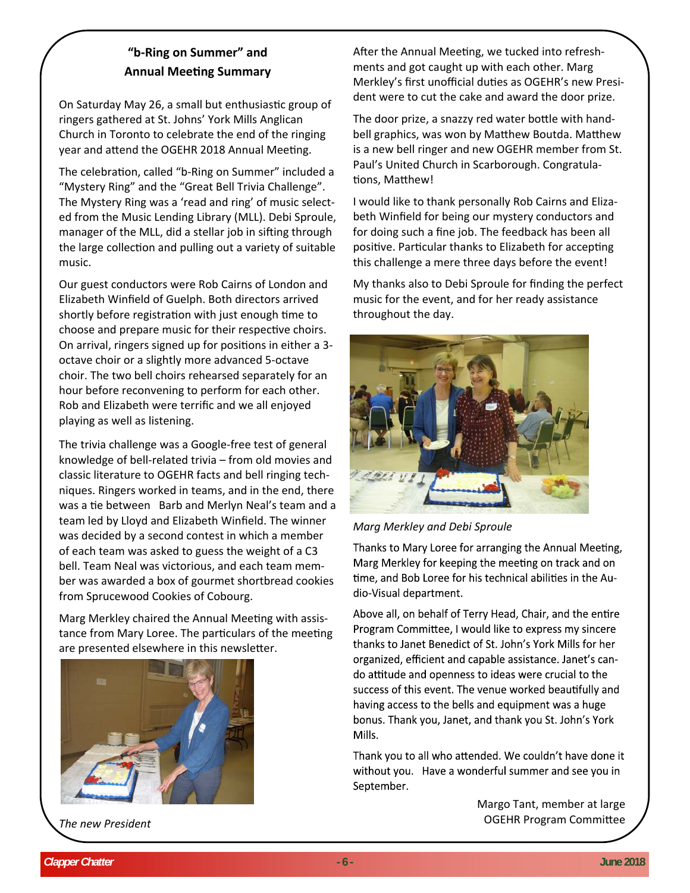# **"b‐Ring on Summer" and Annual MeeƟng Summary**

On Saturday May 26, a small but enthusiastic group of ringers gathered at St. Johns' York Mills Anglican Church in Toronto to celebrate the end of the ringing year and attend the OGEHR 2018 Annual Meeting.

The celebration, called "b-Ring on Summer" included a "Mystery Ring" and the "Great Bell Trivia Challenge". The Mystery Ring was a 'read and ring' of music selected from the Music Lending Library (MLL). Debi Sproule, manager of the MLL, did a stellar job in sifting through the large collection and pulling out a variety of suitable music.

Our guest conductors were Rob Cairns of London and Elizabeth Winfield of Guelph. Both directors arrived shortly before registration with just enough time to choose and prepare music for their respective choirs. On arrival, ringers signed up for positions in either a 3octave choir or a slightly more advanced 5-octave choir. The two bell choirs rehearsed separately for an hour before reconvening to perform for each other. Rob and Elizabeth were terrific and we all enjoyed playing as well as listening.

The trivia challenge was a Google-free test of general knowledge of bell-related trivia – from old movies and classic literature to OGEHR facts and bell ringing techniques. Ringers worked in teams, and in the end, there was a tie between Barb and Merlyn Neal's team and a team led by Lloyd and Elizabeth Winfield. The winner was decided by a second contest in which a member of each team was asked to guess the weight of a C3 bell. Team Neal was victorious, and each team member was awarded a box of gourmet shortbread cookies from Sprucewood Cookies of Cobourg.

Marg Merkley chaired the Annual Meeting with assistance from Mary Loree. The particulars of the meeting are presented elsewhere in this newsletter.



*The new President*

After the Annual Meeting, we tucked into refreshments and got caught up with each other. Marg Merkley's first unofficial duties as OGEHR's new President were to cut the cake and award the door prize.

The door prize, a snazzy red water bottle with handbell graphics, was won by Matthew Boutda. Matthew is a new bell ringer and new OGEHR member from St. Paul's United Church in Scarborough. Congratulations, Matthew!

I would like to thank personally Rob Cairns and Elizabeth Winfield for being our mystery conductors and for doing such a fine job. The feedback has been all positive. Particular thanks to Elizabeth for accepting this challenge a mere three days before the event!

My thanks also to Debi Sproule for finding the perfect music for the event, and for her ready assistance throughout the day.



*Marg Merkley and Debi Sproule* 

Thanks to Mary Loree for arranging the Annual Meeting, Marg Merkley for keeping the meeting on track and on time, and Bob Loree for his technical abilities in the Audio-Visual department.

Above all, on behalf of Terry Head, Chair, and the entire Program Committee, I would like to express my sincere thanks to Janet Benedict of St. John's York Mills for her organized, efficient and capable assistance. Janet's cando attitude and openness to ideas were crucial to the success of this event. The venue worked beautifully and having access to the bells and equipment was a huge bonus. Thank you, Janet, and thank you St. John's York Mills.

Thank you to all who attended. We couldn't have done it without you. Have a wonderful summer and see you in September.

> Margo Tant, member at large OGEHR Program Committee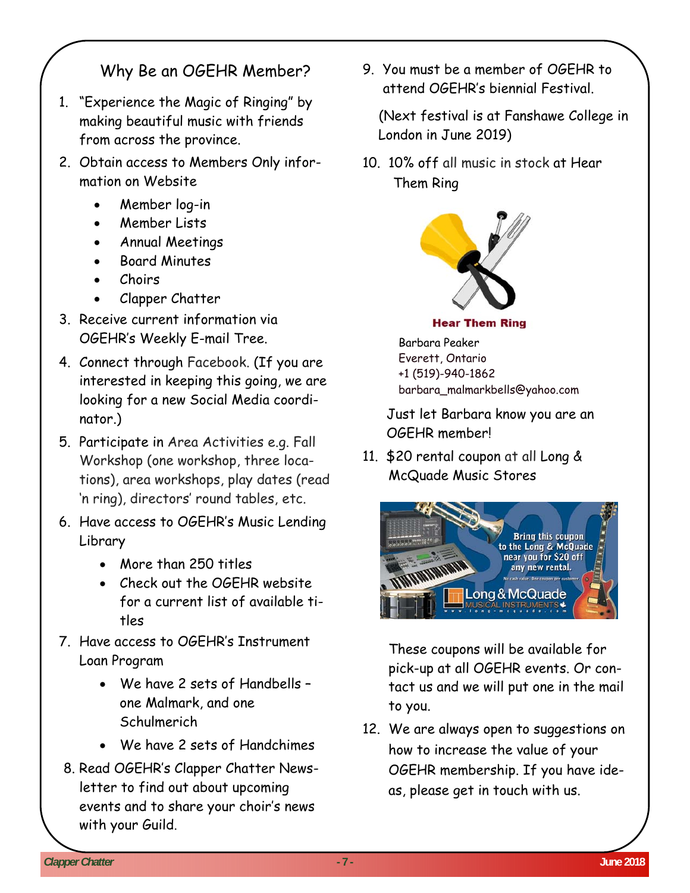# Why Be an OGEHR Member?

- 1. "Experience the Magic of Ringing" by making beautiful music with friends from across the province.
- 2. Obtain access to Members Only information on Website
	- Member log-in
	- Member Lists
	- Annual Meetings
	- Board Minutes
	- Choirs
	- Clapper Chatter
- 3. Receive current information via OGEHR's Weekly E-mail Tree.
- 4. Connect through Facebook. (If you are interested in keeping this going, we are looking for a new Social Media coordinator.)
- 5. Participate in Area Activities e.g. Fall Workshop (one workshop, three locations), area workshops, play dates (read 'n ring), directors' round tables, etc.
- 6. Have access to OGEHR's Music Lending Library
	- More than 250 titles
	- Check out the OGEHR website for a current list of available titles
- 7. Have access to OGEHR's Instrument Loan Program
	- We have 2 sets of Handbells one Malmark, and one **Schulmerich**
	- We have 2 sets of Handchimes
- 8. Read OGEHR's Clapper Chatter Newsletter to find out about upcoming events and to share your choir's news with your Guild.

9. You must be a member of OGEHR to attend OGEHR's biennial Festival.

(Next festival is at Fanshawe College in London in June 2019)

10. 10% off all music in stock at Hear Them Ring



## **Hear Them Ring**

Barbara Peaker Everett, Ontario +1 (519)-940-1862 barbara\_malmarkbells@yahoo.com

Just let Barbara know you are an OGEHR member!

11. \$20 rental coupon at all Long & McQuade Music Stores



These coupons will be available for pick-up at all OGEHR events. Or contact us and we will put one in the mail to you.

12. We are always open to suggestions on how to increase the value of your OGEHR membership. If you have ideas, please get in touch with us.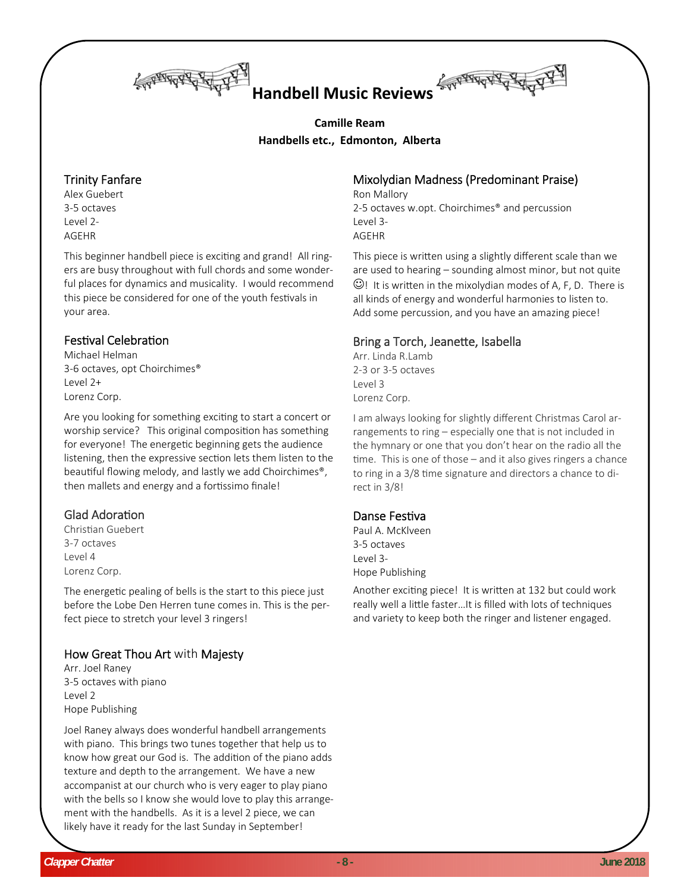

# **Handbell Music Reviews**

# **Camille Ream Handbells etc., Edmonton, Alberta**

# Trinity Fanfare

Alex Guebert 3‐5 octaves Level 2‐ AGEHR

This beginner handbell piece is exciting and grand! All ringers are busy throughout with full chords and some wonder‐ ful places for dynamics and musicality. I would recommend this piece be considered for one of the youth festivals in your area.

## Festival Celebration

Michael Helman 3‐6 octaves, opt Choirchimes® Level 2+ Lorenz Corp.

Are you looking for something exciting to start a concert or worship service? This original composition has something for everyone! The energetic beginning gets the audience listening, then the expressive section lets them listen to the beautiful flowing melody, and lastly we add Choirchimes®, then mallets and energy and a fortissimo finale!

# Glad Adoration

Christian Guebert 3‐7 octaves Level 4 Lorenz Corp.

The energetic pealing of bells is the start to this piece just before the Lobe Den Herren tune comes in. This is the per‐ fect piece to stretch your level 3 ringers!

# How Great Thou Art with Majesty

Arr. Joel Raney 3‐5 octaves with piano Level 2 Hope Publishing

Joel Raney always does wonderful handbell arrangements with piano. This brings two tunes together that help us to know how great our God is. The addition of the piano adds texture and depth to the arrangement. We have a new accompanist at our church who is very eager to play piano with the bells so I know she would love to play this arrangement with the handbells. As it is a level 2 piece, we can likely have it ready for the last Sunday in September!

# Mixolydian Madness (Predominant Praise)

Ron Mallory 2‐5 octaves w.opt. Choirchimes® and percussion Level 3‐ AGEHR

This piece is written using a slightly different scale than we are used to hearing – sounding almost minor, but not quite  $\odot$ ! It is written in the mixolydian modes of A, F, D. There is all kinds of energy and wonderful harmonies to listen to. Add some percussion, and you have an amazing piece!

# Bring a Torch, JeaneƩe, Isabella

Arr. Linda R.Lamb 2‐3 or 3‐5 octaves Level 3 Lorenz Corp.

I am always looking for slightly different Christmas Carol ar‐ rangements to ring – especially one that is not included in the hymnary or one that you don't hear on the radio all the time. This is one of those – and it also gives ringers a chance to ring in a 3/8 time signature and directors a chance to direct in 3/8!

## Danse Festiva

Paul A. McKlveen 3‐5 octaves Level 3‐ Hope Publishing

Another exciting piece! It is written at 132 but could work really well a little faster...It is filled with lots of techniques and variety to keep both the ringer and listener engaged.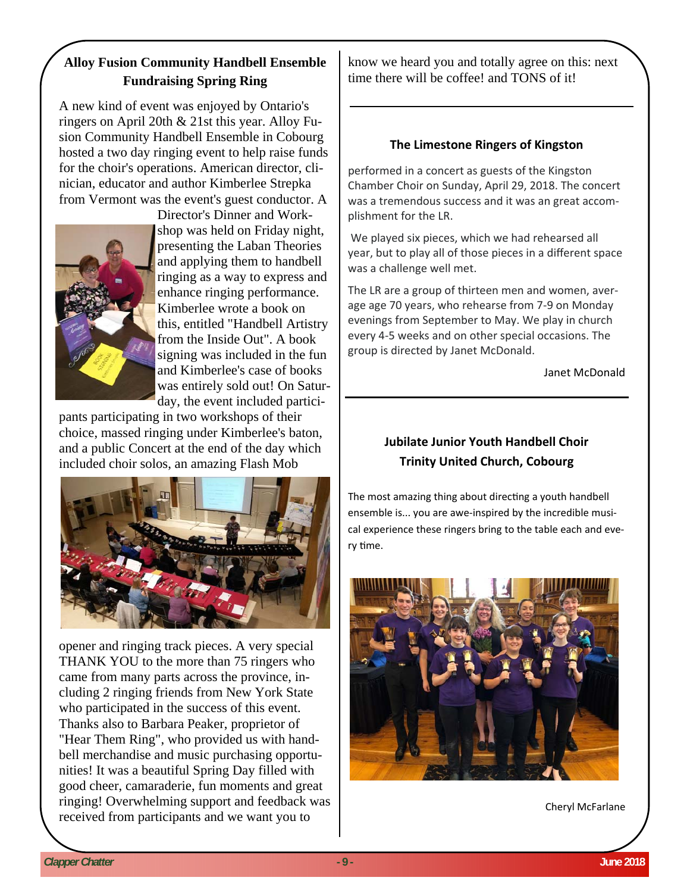# **Alloy Fusion Community Handbell Ensemble Fundraising Spring Ring**

A new kind of event was enjoyed by Ontario's ringers on April 20th & 21st this year. Alloy Fusion Community Handbell Ensemble in Cobourg hosted a two day ringing event to help raise funds for the choir's operations. American director, clinician, educator and author Kimberlee Strepka from Vermont was the event's guest conductor. A



Director's Dinner and Workshop was held on Friday night, presenting the Laban Theories and applying them to handbell ringing as a way to express and enhance ringing performance. Kimberlee wrote a book on this, entitled "Handbell Artistry from the Inside Out". A book signing was included in the fun and Kimberlee's case of books was entirely sold out! On Saturday, the event included partici-

pants participating in two workshops of their choice, massed ringing under Kimberlee's baton, and a public Concert at the end of the day which included choir solos, an amazing Flash Mob



opener and ringing track pieces. A very special THANK YOU to the more than 75 ringers who came from many parts across the province, including 2 ringing friends from New York State who participated in the success of this event. Thanks also to Barbara Peaker, proprietor of "Hear Them Ring", who provided us with handbell merchandise and music purchasing opportunities! It was a beautiful Spring Day filled with good cheer, camaraderie, fun moments and great ringing! Overwhelming support and feedback was received from participants and we want you to

know we heard you and totally agree on this: next time there will be coffee! and TONS of it!

## **The Limestone Ringers of Kingston**

performed in a concert as guests of the Kingston Chamber Choir on Sunday, April 29, 2018. The concert was a tremendous success and it was an great accomplishment for the LR.

We played six pieces, which we had rehearsed all year, but to play all of those pieces in a different space was a challenge well met.

The LR are a group of thirteen men and women, average age 70 years, who rehearse from 7-9 on Monday evenings from September to May. We play in church every 4-5 weeks and on other special occasions. The group is directed by Janet McDonald.

Janet McDonald

# **Jubilate Junior Youth Handbell Choir Trinity United Church, Cobourg**

The most amazing thing about directing a youth handbell ensemble is... you are awe-inspired by the incredible musical experience these ringers bring to the table each and every time.



Cheryl McFarlane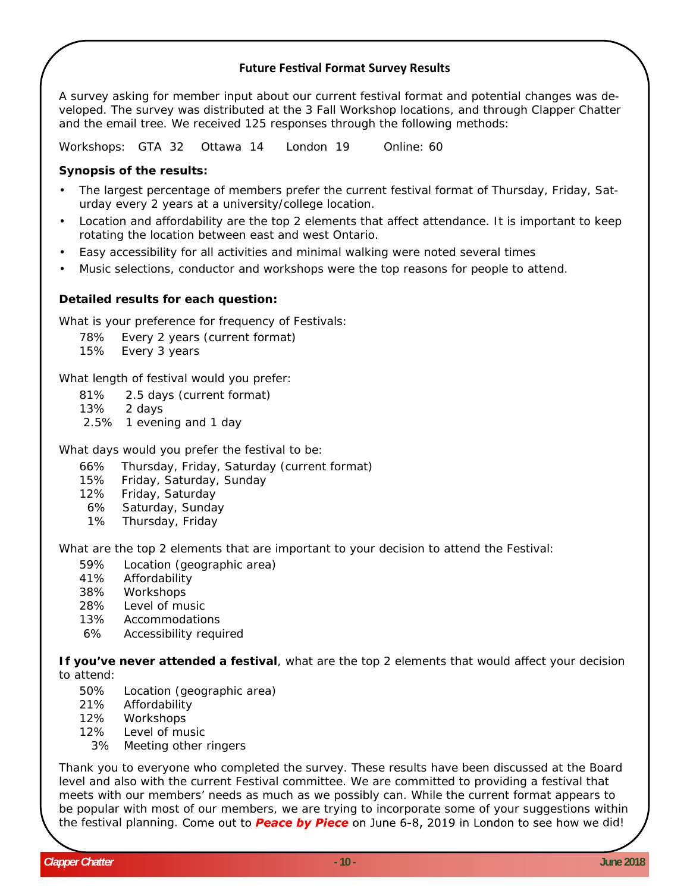## **Future FesƟval Format Survey Results**

A survey asking for member input about our current festival format and potential changes was developed. The survey was distributed at the 3 Fall Workshop locations, and through Clapper Chatter and the email tree. We received 125 responses through the following methods:

Workshops: GTA 32 Ottawa 14 London 19 Online: 60

#### **Synopsis of the results:**

- The largest percentage of members prefer the current festival format of Thursday, Friday, Saturday every 2 years at a university/college location.
- Location and affordability are the top 2 elements that affect attendance. It is important to keep rotating the location between east and west Ontario.
- Easy accessibility for all activities and minimal walking were noted several times
- Music selections, conductor and workshops were the top reasons for people to attend.

#### **Detailed results for each question:**

What is your preference for frequency of Festivals:

78% Every 2 years (current format)

15% Every 3 years

What length of festival would you prefer:

- 81% 2.5 days (current format)
- 13% 2 days
- 2.5% 1 evening and 1 day

What days would you prefer the festival to be:

- 66% Thursday, Friday, Saturday (current format)
- 15% Friday, Saturday, Sunday
- 12% Friday, Saturday
- 6% Saturday, Sunday
- 1% Thursday, Friday

What are the top 2 elements that are important to your decision to attend the Festival:

- 59% Location (geographic area)
- 41% Affordability
- 38% Workshops
- 28% Level of music
- 13% Accommodations
- 6% Accessibility required

**If you've never attended a festival**, what are the top 2 elements that would affect your decision to attend:

- 50% Location (geographic area)
- 21% Affordability
- 12% Workshops
- 12% Level of music
- 3% Meeting other ringers

Thank you to everyone who completed the survey. These results have been discussed at the Board level and also with the current Festival committee. We are committed to providing a festival that meets with our members' needs as much as we possibly can. While the current format appears to be popular with most of our members, we are trying to incorporate some of your suggestions within the festival planning. Come out to **Peace by Piece** on June 6-8, 2019 in London to see how we did!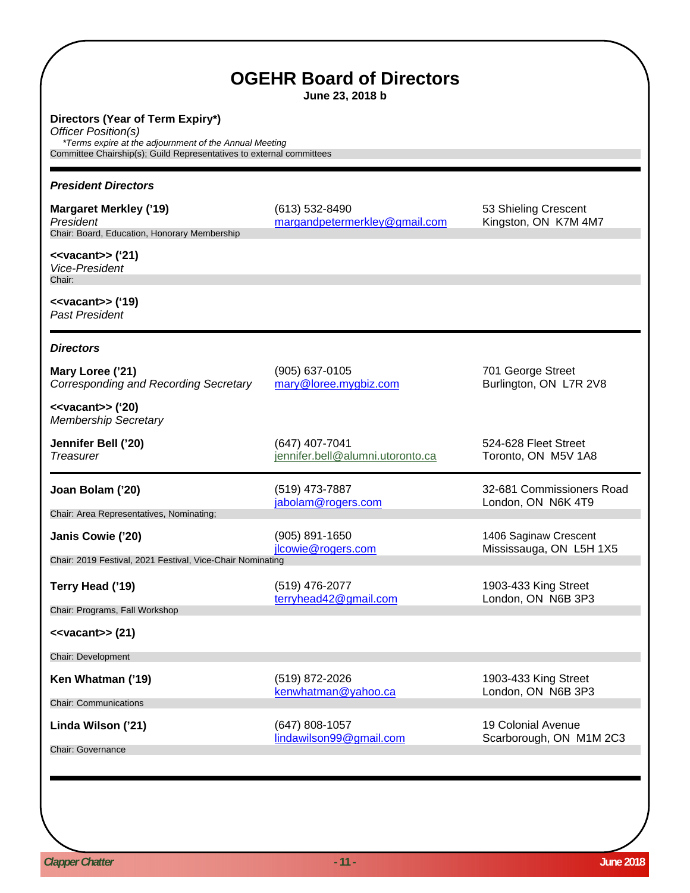| <b>OGEHR Board of Directors</b><br>June 23, 2018 b                                                                                                                                        |                                                     |                                                  |  |  |
|-------------------------------------------------------------------------------------------------------------------------------------------------------------------------------------------|-----------------------------------------------------|--------------------------------------------------|--|--|
| Directors (Year of Term Expiry*)<br>Officer Position(s)<br>*Terms expire at the adjournment of the Annual Meeting<br>Committee Chairship(s); Guild Representatives to external committees |                                                     |                                                  |  |  |
| <b>President Directors</b>                                                                                                                                                                |                                                     |                                                  |  |  |
| <b>Margaret Merkley ('19)</b><br>President<br>Chair: Board, Education, Honorary Membership                                                                                                | $(613) 532 - 8490$<br>margandpetermerkley@gmail.com | 53 Shieling Crescent<br>Kingston, ON K7M 4M7     |  |  |
| $\prec$ vacant>> ('21)<br><b>Vice-President</b><br>Chair:                                                                                                                                 |                                                     |                                                  |  |  |
| $\langle$ <vacant>&gt; ('19)<br/><b>Past President</b></vacant>                                                                                                                           |                                                     |                                                  |  |  |
| <b>Directors</b>                                                                                                                                                                          |                                                     |                                                  |  |  |
| Mary Loree ('21)<br>Corresponding and Recording Secretary                                                                                                                                 | (905) 637-0105<br>mary@loree.mygbiz.com             | 701 George Street<br>Burlington, ON L7R 2V8      |  |  |
| $\langle$ <vacant>&gt; ('20)<br/><b>Membership Secretary</b></vacant>                                                                                                                     |                                                     |                                                  |  |  |
| Jennifer Bell ('20)<br>Treasurer                                                                                                                                                          | (647) 407-7041<br>jennifer.bell@alumni.utoronto.ca  | 524-628 Fleet Street<br>Toronto, ON M5V 1A8      |  |  |
| Joan Bolam ('20)                                                                                                                                                                          | (519) 473-7887<br>jabolam@rogers.com                | 32-681 Commissioners Road<br>London, ON N6K 4T9  |  |  |
| Chair: Area Representatives, Nominating;                                                                                                                                                  |                                                     |                                                  |  |  |
| Janis Cowie ('20)                                                                                                                                                                         | (905) 891-1650<br>jlcowie@rogers.com                | 1406 Saginaw Crescent<br>Mississauga, ON L5H 1X5 |  |  |
| Chair: 2019 Festival, 2021 Festival, Vice-Chair Nominating                                                                                                                                |                                                     |                                                  |  |  |
| Terry Head ('19)                                                                                                                                                                          | (519) 476-2077<br>terryhead42@gmail.com             | 1903-433 King Street<br>London, ON N6B 3P3       |  |  |
| Chair: Programs, Fall Workshop                                                                                                                                                            |                                                     |                                                  |  |  |
| $\prec$ vacant>> (21)                                                                                                                                                                     |                                                     |                                                  |  |  |
| Chair: Development                                                                                                                                                                        |                                                     |                                                  |  |  |
| Ken Whatman ('19)                                                                                                                                                                         | (519) 872-2026<br>kenwhatman@yahoo.ca               | 1903-433 King Street<br>London, ON N6B 3P3       |  |  |
| <b>Chair: Communications</b>                                                                                                                                                              |                                                     |                                                  |  |  |
| Linda Wilson ('21)                                                                                                                                                                        | (647) 808-1057<br>lindawilson99@gmail.com           | 19 Colonial Avenue<br>Scarborough, ON M1M 2C3    |  |  |
| <b>Chair: Governance</b>                                                                                                                                                                  |                                                     |                                                  |  |  |